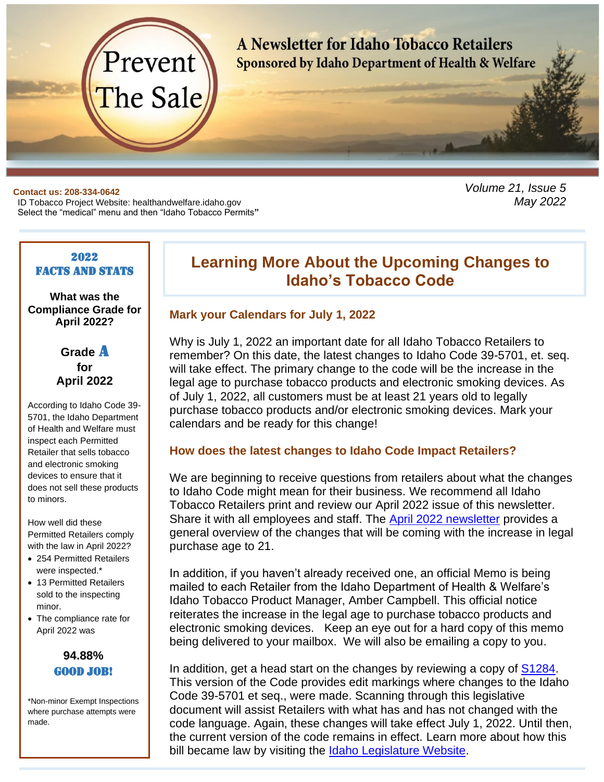

#### **Contact us: 208-334-0642**

ID Tobacco Project Website: healthandwelfare.idaho.gov Select the "medical" menu and then "Idaho Tobacco Permits**"**

#### 2022 **FACTS AND STATS**

**What was the Compliance Grade for April 2022?**

> **Grade** A **for April 2022**

According to Idaho Code 39- 5701, the Idaho Department of Health and Welfare must inspect each Permitted Retailer that sells tobacco and electronic smoking devices to ensure that it does not sell these products to minors.

How well did these Permitted Retailers comply with the law in April 2022?

- 254 Permitted Retailers were inspected.\*
- 13 Permitted Retailers sold to the inspecting minor.
- The compliance rate for April 2022 was



\*Non-minor Exempt Inspections where purchase attempts were made.

# **Learning More About the Upcoming Changes to Idaho's Tobacco Code**

*Volume 21, Issue 5*

*May 2022*

#### **Mark your Calendars for July 1, 2022**

Why is July 1, 2022 an important date for all Idaho Tobacco Retailers to remember? On this date, the latest changes to Idaho Code 39-5701, et. seq. will take effect. The primary change to the code will be the increase in the legal age to purchase tobacco products and electronic smoking devices. As of July 1, 2022, all customers must be at least 21 years old to legally purchase tobacco products and/or electronic smoking devices. Mark your calendars and be ready for this change!

### **How does the latest changes to Idaho Code Impact Retailers?**

We are beginning to receive questions from retailers about what the changes to Idaho Code might mean for their business. We recommend all Idaho Tobacco Retailers print and review our April 2022 issue of this newsletter. Share it with all employees and staff. The [April 2022 newsletter](http://preventthesale.com/Idaho/NewsletterIndex.htm) provides a general overview of the changes that will be coming with the increase in legal purchase age to 21.

In addition, if you haven't already received one, an official Memo is being mailed to each Retailer from the Idaho Department of Health & Welfare's Idaho Tobacco Product Manager, Amber Campbell. This official notice reiterates the increase in the legal age to purchase tobacco products and electronic smoking devices. Keep an eye out for a hard copy of this memo being delivered to your mailbox. We will also be emailing a copy to you.

In addition, get a head start on the changes by reviewing a copy of [S1284.](https://legislature.idaho.gov/sessioninfo/billbookmark/?yr=2022&bn=S1284) This version of the Code provides edit markings where changes to the Idaho Code 39-5701 et seq., were made. Scanning through this legislative document will assist Retailers with what has and has not changed with the code language. Again, these changes will take effect July 1, 2022. Until then, the current version of the code remains in effect. Learn more about how this bill became law by visiting the [Idaho Legislature Website.](https://legislature.idaho.gov/sessioninfo/2022/legislation/s1284/)